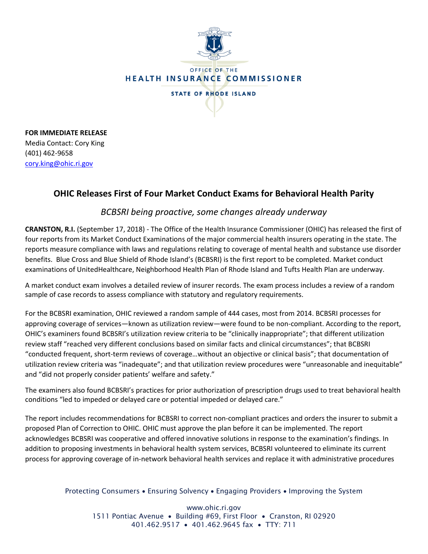

**FOR IMMEDIATE RELEASE** Media Contact: Cory King (401) 462-9658 [cory.king@ohic.ri.gov](mailto:cory.king@ohic.ri.gov)

## **OHIC Releases First of Four Market Conduct Exams for Behavioral Health Parity**

## *BCBSRI being proactive, some changes already underway*

**CRANSTON, R.I.** (September 17, 2018) - The Office of the Health Insurance Commissioner (OHIC) has released the first of four reports from its Market Conduct Examinations of the major commercial health insurers operating in the state. The reports measure compliance with laws and regulations relating to coverage of mental health and substance use disorder benefits. Blue Cross and Blue Shield of Rhode Island's (BCBSRI) is the first report to be completed. Market conduct examinations of UnitedHealthcare, Neighborhood Health Plan of Rhode Island and Tufts Health Plan are underway.

A market conduct exam involves a detailed review of insurer records. The exam process includes a review of a random sample of case records to assess compliance with statutory and regulatory requirements.

For the BCBSRI examination, OHIC reviewed a random sample of 444 cases, most from 2014. BCBSRI processes for approving coverage of services—known as utilization review—were found to be non-compliant. According to the report, OHIC's examiners found BCBSRI's utilization review criteria to be "clinically inappropriate"; that different utilization review staff "reached very different conclusions based on similar facts and clinical circumstances"; that BCBSRI "conducted frequent, short-term reviews of coverage…without an objective or clinical basis"; that documentation of utilization review criteria was "inadequate"; and that utilization review procedures were "unreasonable and inequitable" and "did not properly consider patients' welfare and safety."

The examiners also found BCBSRI's practices for prior authorization of prescription drugs used to treat behavioral health conditions "led to impeded or delayed care or potential impeded or delayed care."

The report includes recommendations for BCBSRI to correct non-compliant practices and orders the insurer to submit a proposed Plan of Correction to OHIC. OHIC must approve the plan before it can be implemented. The report acknowledges BCBSRI was cooperative and offered innovative solutions in response to the examination's findings. In addition to proposing investments in behavioral health system services, BCBSRI volunteered to eliminate its current process for approving coverage of in-network behavioral health services and replace it with administrative procedures

## Protecting Consumers • Ensuring Solvency • Engaging Providers • Improving the System

www.ohic.ri.gov 1511 Pontiac Avenue • Building #69, First Floor • Cranston, RI 02920 401.462.9517 • 401.462.9645 fax • TTY: 711